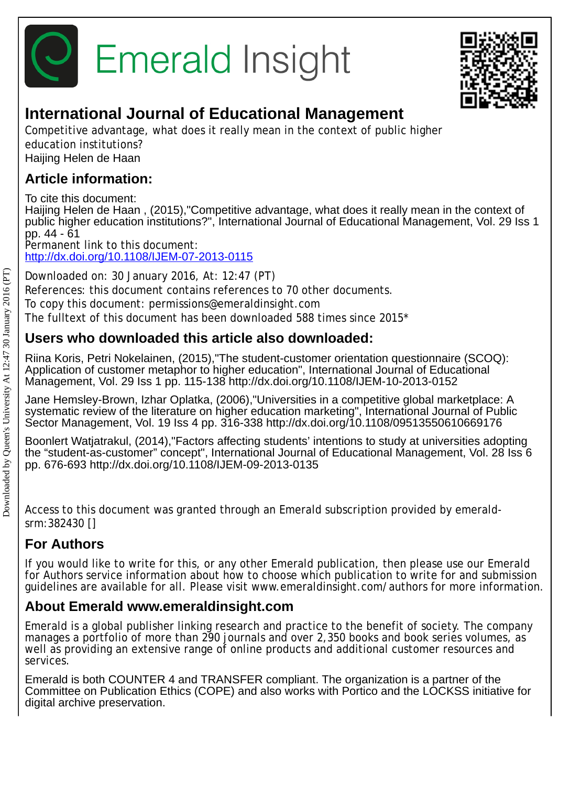



# **International Journal of Educational Management**

Competitive advantage, what does it really mean in the context of public higher education institutions? Haijing Helen de Haan

# **Article information:**

To cite this document: Haijing Helen de Haan , (2015),"Competitive advantage, what does it really mean in the context of public higher education institutions?", International Journal of Educational Management, Vol. 29 Iss 1 pp. 44 - 61 Permanent link to this document: <http://dx.doi.org/10.1108/IJEM-07-2013-0115>

Downloaded on: 30 January 2016, At: 12:47 (PT) References: this document contains references to 70 other documents. To copy this document: permissions@emeraldinsight.com The fulltext of this document has been downloaded 588 times since 2015\*

## **Users who downloaded this article also downloaded:**

Riina Koris, Petri Nokelainen, (2015),"The student-customer orientation questionnaire (SCOQ): Application of customer metaphor to higher education", International Journal of Educational Management, Vol. 29 Iss 1 pp. 115-138 http://dx.doi.org/10.1108/IJEM-10-2013-0152

Jane Hemsley-Brown, Izhar Oplatka, (2006),"Universities in a competitive global marketplace: A systematic review of the literature on higher education marketing", International Journal of Public Sector Management, Vol. 19 Iss 4 pp. 316-338 http://dx.doi.org/10.1108/09513550610669176

Boonlert Watjatrakul, (2014),"Factors affecting students' intentions to study at universities adopting the "student-as-customer" concept", International Journal of Educational Management, Vol. 28 Iss 6 pp. 676-693 http://dx.doi.org/10.1108/IJEM-09-2013-0135

Access to this document was granted through an Emerald subscription provided by emeraldsrm:382430 []

# **For Authors**

If you would like to write for this, or any other Emerald publication, then please use our Emerald for Authors service information about how to choose which publication to write for and submission guidelines are available for all. Please visit www.emeraldinsight.com/authors for more information.

# **About Emerald www.emeraldinsight.com**

Emerald is a global publisher linking research and practice to the benefit of society. The company manages a portfolio of more than 290 journals and over 2,350 books and book series volumes, as well as providing an extensive range of online products and additional customer resources and services.

Emerald is both COUNTER 4 and TRANSFER compliant. The organization is a partner of the Committee on Publication Ethics (COPE) and also works with Portico and the LOCKSS initiative for digital archive preservation.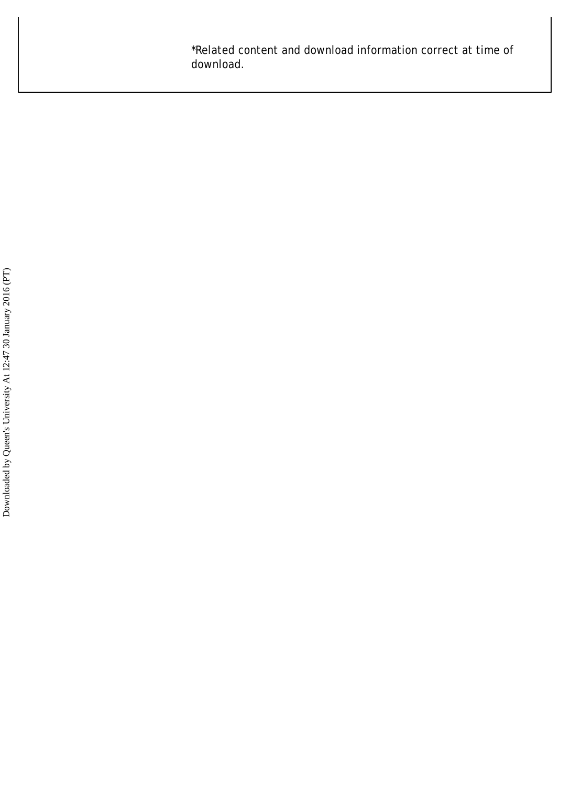\*Related content and download information correct at time of download.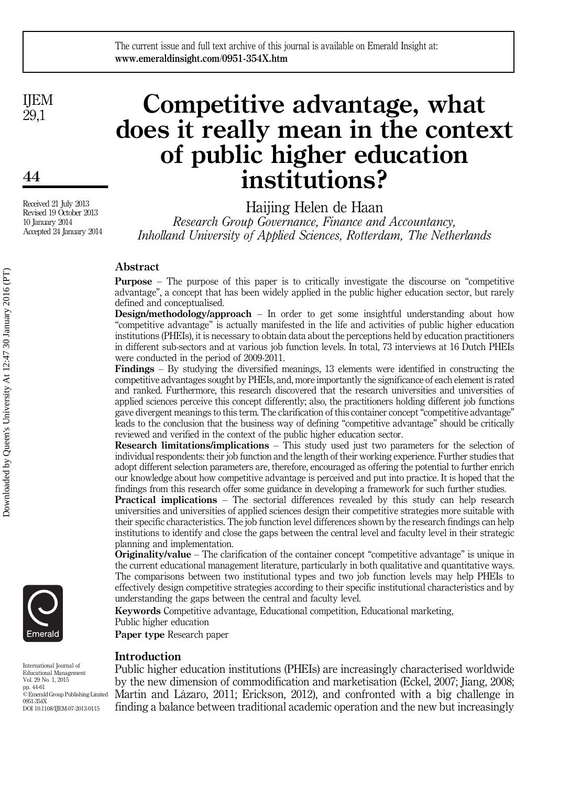IJEM 29,1

44

Received 21 July 2013 Revised 19 October 2013 10 January 2014 Accepted 24 January 2014

# Competitive advantage, what does it really mean in the context of public higher education institutions?

Haijing Helen de Haan

Research Group Governance, Finance and Accountancy, Inholland University of Applied Sciences, Rotterdam, The Netherlands

### Abstract

Purpose – The purpose of this paper is to critically investigate the discourse on "competitive advantage", a concept that has been widely applied in the public higher education sector, but rarely defined and conceptualised.

Design/methodology/approach – In order to get some insightful understanding about how "competitive advantage" is actually manifested in the life and activities of public higher education institutions (PHEIs), it is necessary to obtain data about the perceptions held by education practitioners in different sub-sectors and at various job function levels. In total, 73 interviews at 16 Dutch PHEIs were conducted in the period of 2009-2011.

Findings – By studying the diversified meanings, 13 elements were identified in constructing the competitive advantages sought by PHEIs, and, more importantly the significance of each element is rated and ranked. Furthermore, this research discovered that the research universities and universities of applied sciences perceive this concept differently; also, the practitioners holding different job functions gave divergent meanings to this term. The clarification of this container concept"competitive advantage" leads to the conclusion that the business way of defining "competitive advantage" should be critically reviewed and verified in the context of the public higher education sector.

Research limitations/implications – This study used just two parameters for the selection of individual respondents: their job function and the length of their working experience. Further studies that adopt different selection parameters are, therefore, encouraged as offering the potential to further enrich our knowledge about how competitive advantage is perceived and put into practice. It is hoped that the findings from this research offer some guidance in developing a framework for such further studies.

Practical implications – The sectorial differences revealed by this study can help research universities and universities of applied sciences design their competitive strategies more suitable with their specific characteristics. The job function level differences shown by the research findings can help institutions to identify and close the gaps between the central level and faculty level in their strategic planning and implementation.

Originality/value – The clarification of the container concept "competitive advantage" is unique in the current educational management literature, particularly in both qualitative and quantitative ways. The comparisons between two institutional types and two job function levels may help PHEIs to effectively design competitive strategies according to their specific institutional characteristics and by understanding the gaps between the central and faculty level.

Keywords Competitive advantage, Educational competition, Educational marketing, Public higher education

Paper type Research paper

#### Introduction

Public higher education institutions (PHEIs) are increasingly characterised worldwide by the new dimension of commodification and marketisation (Eckel, 2007; Jiang, 2008; Martin and Lázaro, 2011; Erickson, 2012), and confronted with a big challenge in finding a balance between traditional academic operation and the new but increasingly



Downloaded by Queen's University At 12:47 30 January 2016 (PT) Downloaded by Queen's University At 12:47 30 January 2016 (PT)

> Emerald International Journal of Educational Management Vol. 29 No. 1, 2015

© Emerald Group Publishing Limited

DOI 10.1108/IJEM-07-2013-0115

pp. 44-61

0951-354X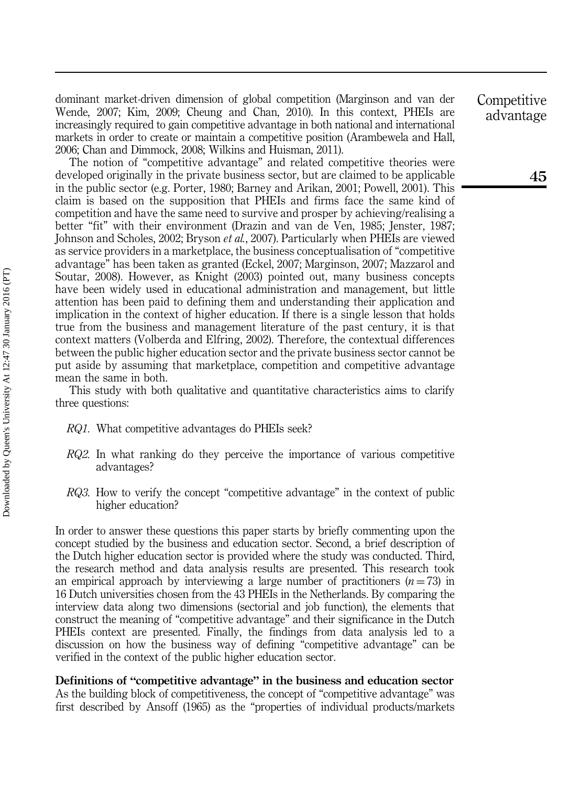dominant market-driven dimension of global competition (Marginson and van der Wende, 2007; Kim, 2009; Cheung and Chan, 2010). In this context, PHEIs are increasingly required to gain competitive advantage in both national and international markets in order to create or maintain a competitive position (Arambewela and Hall, 2006; Chan and Dimmock, 2008; Wilkins and Huisman, 2011).

The notion of "competitive advantage" and related competitive theories were developed originally in the private business sector, but are claimed to be applicable in the public sector (e.g. Porter, 1980; Barney and Arikan, 2001; Powell, 2001). This claim is based on the supposition that PHEIs and firms face the same kind of competition and have the same need to survive and prosper by achieving/realising a better "fit" with their environment (Drazin and van de Ven, 1985; Jenster, 1987; Johnson and Scholes, 2002; Bryson et al., 2007). Particularly when PHEIs are viewed as service providers in a marketplace, the business conceptualisation of "competitive advantage" has been taken as granted (Eckel, 2007; Marginson, 2007; Mazzarol and Soutar, 2008). However, as Knight (2003) pointed out, many business concepts have been widely used in educational administration and management, but little attention has been paid to defining them and understanding their application and implication in the context of higher education. If there is a single lesson that holds true from the business and management literature of the past century, it is that context matters (Volberda and Elfring, 2002). Therefore, the contextual differences between the public higher education sector and the private business sector cannot be put aside by assuming that marketplace, competition and competitive advantage mean the same in both.

This study with both qualitative and quantitative characteristics aims to clarify three questions:

- RQ1. What competitive advantages do PHEIs seek?
- RQ2. In what ranking do they perceive the importance of various competitive advantages?
- RQ3. How to verify the concept "competitive advantage" in the context of public higher education?

In order to answer these questions this paper starts by briefly commenting upon the concept studied by the business and education sector. Second, a brief description of the Dutch higher education sector is provided where the study was conducted. Third, the research method and data analysis results are presented. This research took an empirical approach by interviewing a large number of practitioners  $(n = 73)$  in 16 Dutch universities chosen from the 43 PHEIs in the Netherlands. By comparing the interview data along two dimensions (sectorial and job function), the elements that construct the meaning of "competitive advantage" and their significance in the Dutch PHEIs context are presented. Finally, the findings from data analysis led to a discussion on how the business way of defining "competitive advantage" can be verified in the context of the public higher education sector.

Definitions of "competitive advantage" in the business and education sector

**Competitive** advantage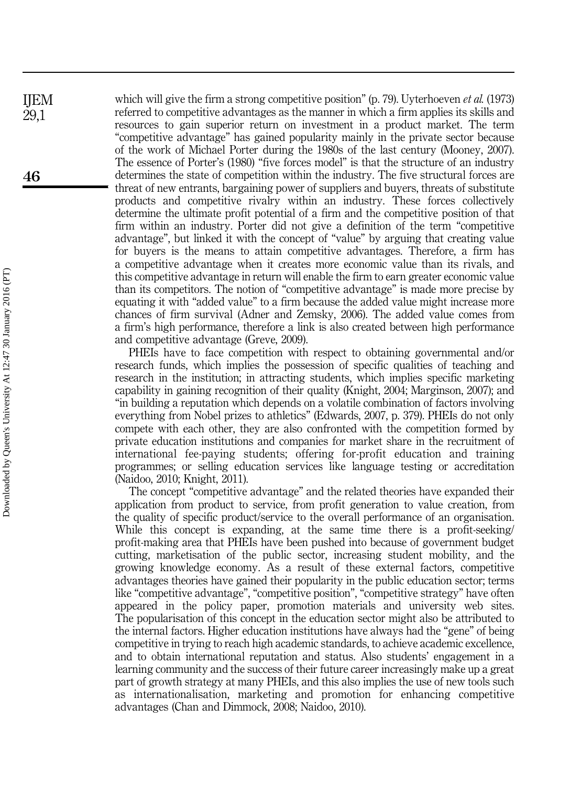which will give the firm a strong competitive position" (p. 79). Uyterhoeven *et al.* (1973) referred to competitive advantages as the manner in which a firm applies its skills and resources to gain superior return on investment in a product market. The term "competitive advantage" has gained popularity mainly in the private sector because of the work of Michael Porter during the 1980s of the last century (Mooney, 2007). The essence of Porter's (1980) "five forces model" is that the structure of an industry determines the state of competition within the industry. The five structural forces are threat of new entrants, bargaining power of suppliers and buyers, threats of substitute products and competitive rivalry within an industry. These forces collectively determine the ultimate profit potential of a firm and the competitive position of that firm within an industry. Porter did not give a definition of the term "competitive advantage", but linked it with the concept of "value" by arguing that creating value for buyers is the means to attain competitive advantages. Therefore, a firm has a competitive advantage when it creates more economic value than its rivals, and this competitive advantage in return will enable the firm to earn greater economic value than its competitors. The notion of "competitive advantage" is made more precise by equating it with "added value" to a firm because the added value might increase more chances of firm survival (Adner and Zemsky, 2006). The added value comes from a firm's high performance, therefore a link is also created between high performance and competitive advantage (Greve, 2009).

PHEIs have to face competition with respect to obtaining governmental and/or research funds, which implies the possession of specific qualities of teaching and research in the institution; in attracting students, which implies specific marketing capability in gaining recognition of their quality (Knight, 2004; Marginson, 2007); and "in building a reputation which depends on a volatile combination of factors involving everything from Nobel prizes to athletics" (Edwards, 2007, p. 379). PHEIs do not only compete with each other, they are also confronted with the competition formed by private education institutions and companies for market share in the recruitment of international fee-paying students; offering for-profit education and training programmes; or selling education services like language testing or accreditation (Naidoo, 2010; Knight, 2011).

The concept "competitive advantage" and the related theories have expanded their application from product to service, from profit generation to value creation, from the quality of specific product/service to the overall performance of an organisation. While this concept is expanding, at the same time there is a profit-seeking/ profit-making area that PHEIs have been pushed into because of government budget cutting, marketisation of the public sector, increasing student mobility, and the growing knowledge economy. As a result of these external factors, competitive advantages theories have gained their popularity in the public education sector; terms like "competitive advantage", "competitive position", "competitive strategy" have often appeared in the policy paper, promotion materials and university web sites. The popularisation of this concept in the education sector might also be attributed to the internal factors. Higher education institutions have always had the "gene" of being competitive in trying to reach high academic standards, to achieve academic excellence, and to obtain international reputation and status. Also students' engagement in a learning community and the success of their future career increasingly make up a great part of growth strategy at many PHEIs, and this also implies the use of new tools such as internationalisation, marketing and promotion for enhancing competitive advantages (Chan and Dimmock, 2008; Naidoo, 2010).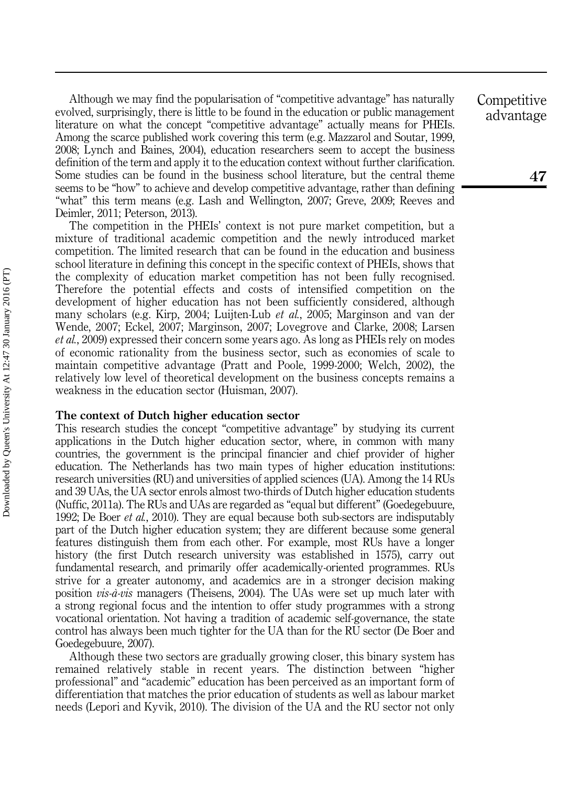Although we may find the popularisation of "competitive advantage" has naturally evolved, surprisingly, there is little to be found in the education or public management literature on what the concept "competitive advantage" actually means for PHEIs. Among the scarce published work covering this term (e.g. Mazzarol and Soutar, 1999, 2008; Lynch and Baines, 2004), education researchers seem to accept the business definition of the term and apply it to the education context without further clarification. Some studies can be found in the business school literature, but the central theme seems to be "how" to achieve and develop competitive advantage, rather than defining "what" this term means (e.g. Lash and Wellington, 2007; Greve, 2009; Reeves and Deimler, 2011; Peterson, 2013).

The competition in the PHEIs' context is not pure market competition, but a mixture of traditional academic competition and the newly introduced market competition. The limited research that can be found in the education and business school literature in defining this concept in the specific context of PHEIs, shows that the complexity of education market competition has not been fully recognised. Therefore the potential effects and costs of intensified competition on the development of higher education has not been sufficiently considered, although many scholars (e.g. Kirp, 2004; Luijten-Lub *et al.*, 2005; Marginson and van der Wende, 2007; Eckel, 2007; Marginson, 2007; Lovegrove and Clarke, 2008; Larsen et al., 2009) expressed their concern some years ago. As long as PHEIs rely on modes of economic rationality from the business sector, such as economies of scale to maintain competitive advantage (Pratt and Poole, 1999-2000; Welch, 2002), the relatively low level of theoretical development on the business concepts remains a weakness in the education sector (Huisman, 2007).

#### The context of Dutch higher education sector

This research studies the concept "competitive advantage" by studying its current applications in the Dutch higher education sector, where, in common with many countries, the government is the principal financier and chief provider of higher education. The Netherlands has two main types of higher education institutions: research universities (RU) and universities of applied sciences (UA). Among the 14 RUs and 39 UAs, the UA sector enrols almost two-thirds of Dutch higher education students (Nuffic, 2011a). The RUs and UAs are regarded as "equal but different" (Goedegebuure, 1992; De Boer *et al.*, 2010). They are equal because both sub-sectors are indisputably part of the Dutch higher education system; they are different because some general features distinguish them from each other. For example, most RUs have a longer history (the first Dutch research university was established in 1575), carry out fundamental research, and primarily offer academically-oriented programmes. RUs strive for a greater autonomy, and academics are in a stronger decision making position vis-à-vis managers (Theisens, 2004). The UAs were set up much later with a strong regional focus and the intention to offer study programmes with a strong vocational orientation. Not having a tradition of academic self-governance, the state control has always been much tighter for the UA than for the RU sector (De Boer and Goedegebuure, 2007).

Although these two sectors are gradually growing closer, this binary system has remained relatively stable in recent years. The distinction between "higher professional" and "academic" education has been perceived as an important form of differentiation that matches the prior education of students as well as labour market needs (Lepori and Kyvik, 2010). The division of the UA and the RU sector not only

**Competitive** advantage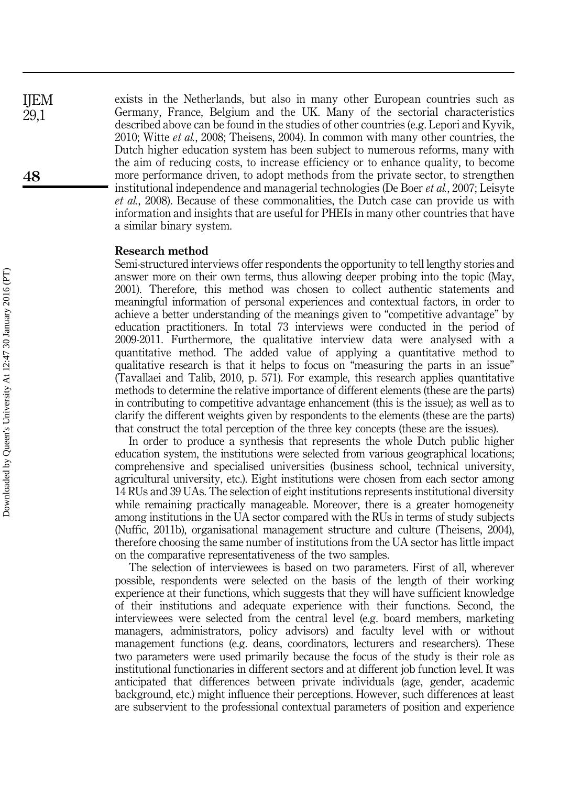exists in the Netherlands, but also in many other European countries such as Germany, France, Belgium and the UK. Many of the sectorial characteristics described above can be found in the studies of other countries (e.g. Lepori and Kyvik, 2010; Witte et al., 2008; Theisens, 2004). In common with many other countries, the Dutch higher education system has been subject to numerous reforms, many with the aim of reducing costs, to increase efficiency or to enhance quality, to become more performance driven, to adopt methods from the private sector, to strengthen institutional independence and managerial technologies (De Boer et al., 2007; Leisyte et al., 2008). Because of these commonalities, the Dutch case can provide us with information and insights that are useful for PHEIs in many other countries that have a similar binary system.

#### Research method

Semi-structured interviews offer respondents the opportunity to tell lengthy stories and answer more on their own terms, thus allowing deeper probing into the topic (May, 2001). Therefore, this method was chosen to collect authentic statements and meaningful information of personal experiences and contextual factors, in order to achieve a better understanding of the meanings given to "competitive advantage" by education practitioners. In total 73 interviews were conducted in the period of 2009-2011. Furthermore, the qualitative interview data were analysed with a quantitative method. The added value of applying a quantitative method to qualitative research is that it helps to focus on "measuring the parts in an issue" (Tavallaei and Talib, 2010, p. 571). For example, this research applies quantitative methods to determine the relative importance of different elements (these are the parts) in contributing to competitive advantage enhancement (this is the issue); as well as to clarify the different weights given by respondents to the elements (these are the parts) that construct the total perception of the three key concepts (these are the issues).

In order to produce a synthesis that represents the whole Dutch public higher education system, the institutions were selected from various geographical locations; comprehensive and specialised universities (business school, technical university, agricultural university, etc.). Eight institutions were chosen from each sector among 14 RUs and 39 UAs. The selection of eight institutions represents institutional diversity while remaining practically manageable. Moreover, there is a greater homogeneity among institutions in the UA sector compared with the RUs in terms of study subjects (Nuffic, 2011b), organisational management structure and culture (Theisens, 2004), therefore choosing the same number of institutions from the UA sector has little impact on the comparative representativeness of the two samples.

The selection of interviewees is based on two parameters. First of all, wherever possible, respondents were selected on the basis of the length of their working experience at their functions, which suggests that they will have sufficient knowledge of their institutions and adequate experience with their functions. Second, the interviewees were selected from the central level (e.g. board members, marketing managers, administrators, policy advisors) and faculty level with or without management functions (e.g. deans, coordinators, lecturers and researchers). These two parameters were used primarily because the focus of the study is their role as institutional functionaries in different sectors and at different job function level. It was anticipated that differences between private individuals (age, gender, academic background, etc.) might influence their perceptions. However, such differences at least are subservient to the professional contextual parameters of position and experience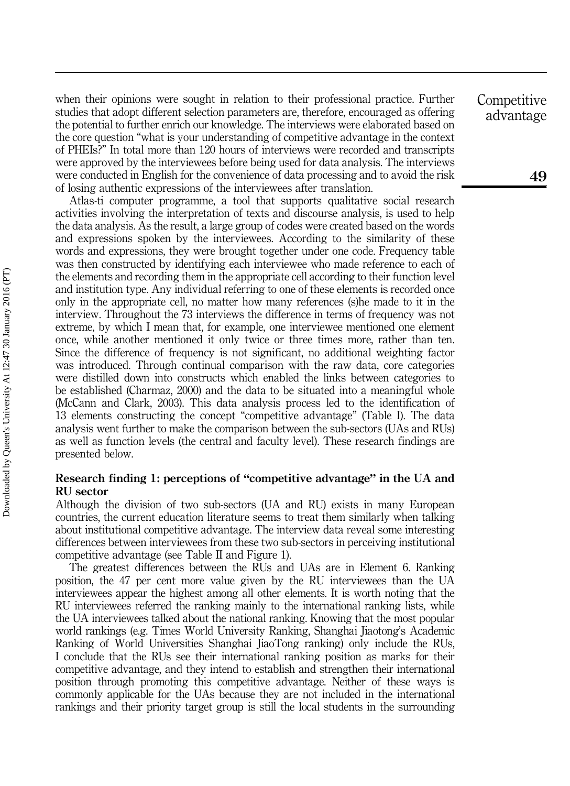when their opinions were sought in relation to their professional practice. Further studies that adopt different selection parameters are, therefore, encouraged as offering the potential to further enrich our knowledge. The interviews were elaborated based on the core question "what is your understanding of competitive advantage in the context of PHEIs?" In total more than 120 hours of interviews were recorded and transcripts were approved by the interviewees before being used for data analysis. The interviews were conducted in English for the convenience of data processing and to avoid the risk of losing authentic expressions of the interviewees after translation.

Atlas-ti computer programme, a tool that supports qualitative social research activities involving the interpretation of texts and discourse analysis, is used to help the data analysis. As the result, a large group of codes were created based on the words and expressions spoken by the interviewees. According to the similarity of these words and expressions, they were brought together under one code. Frequency table was then constructed by identifying each interviewee who made reference to each of the elements and recording them in the appropriate cell according to their function level and institution type. Any individual referring to one of these elements is recorded once only in the appropriate cell, no matter how many references (s)he made to it in the interview. Throughout the 73 interviews the difference in terms of frequency was not extreme, by which I mean that, for example, one interviewee mentioned one element once, while another mentioned it only twice or three times more, rather than ten. Since the difference of frequency is not significant, no additional weighting factor was introduced. Through continual comparison with the raw data, core categories were distilled down into constructs which enabled the links between categories to be established (Charmaz, 2000) and the data to be situated into a meaningful whole (McCann and Clark, 2003). This data analysis process led to the identification of 13 elements constructing the concept "competitive advantage" (Table I). The data analysis went further to make the comparison between the sub-sectors (UAs and RUs) as well as function levels (the central and faculty level). These research findings are presented below.

### Research finding 1: perceptions of "competitive advantage" in the UA and RU sector

Although the division of two sub-sectors (UA and RU) exists in many European countries, the current education literature seems to treat them similarly when talking about institutional competitive advantage. The interview data reveal some interesting differences between interviewees from these two sub-sectors in perceiving institutional competitive advantage (see Table II and Figure 1).

The greatest differences between the RUs and UAs are in Element 6. Ranking position, the 47 per cent more value given by the RU interviewees than the UA interviewees appear the highest among all other elements. It is worth noting that the RU interviewees referred the ranking mainly to the international ranking lists, while the UA interviewees talked about the national ranking. Knowing that the most popular world rankings (e.g. Times World University Ranking, Shanghai Jiaotong's Academic Ranking of World Universities Shanghai JiaoTong ranking) only include the RUs, I conclude that the RUs see their international ranking position as marks for their competitive advantage, and they intend to establish and strengthen their international position through promoting this competitive advantage. Neither of these ways is commonly applicable for the UAs because they are not included in the international rankings and their priority target group is still the local students in the surrounding **Competitive** advantage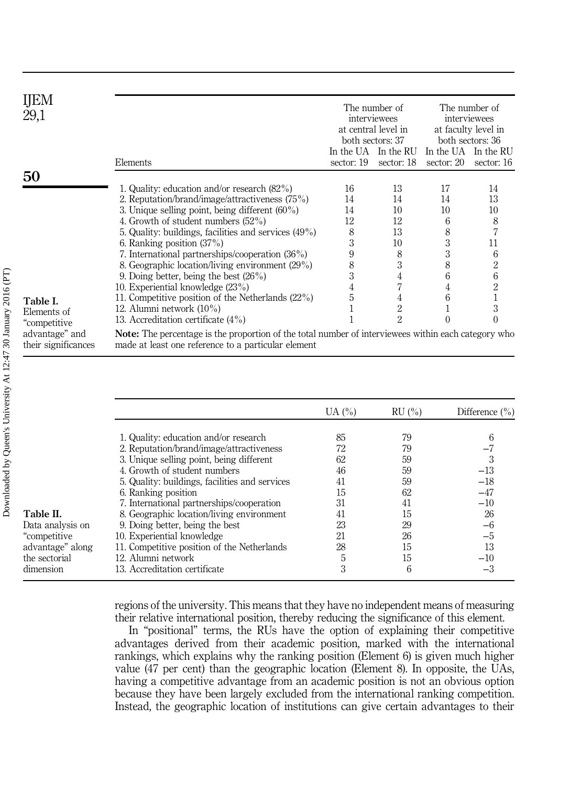| IJEM<br>29,1                          |                                                                                                                                                                   | The number of<br>The number of<br>interviewees<br>interviewees<br>at central level in<br>at faculty level in<br>both sectors: 36<br>both sectors: 37 |                                   |              |                                   |
|---------------------------------------|-------------------------------------------------------------------------------------------------------------------------------------------------------------------|------------------------------------------------------------------------------------------------------------------------------------------------------|-----------------------------------|--------------|-----------------------------------|
|                                       | Elements                                                                                                                                                          | sector: 19                                                                                                                                           | In the UA In the RU<br>sector: 18 | sector: 20   | In the UA In the RU<br>sector: 16 |
| 50                                    | 1. Quality: education and/or research $(82\%)$                                                                                                                    | 16                                                                                                                                                   | 13                                | 17           | 14                                |
|                                       | 2. Reputation/brand/image/attractiveness (75%)                                                                                                                    | 14                                                                                                                                                   | 14                                | 14           | 13                                |
|                                       | 3. Unique selling point, being different $(60\%)$                                                                                                                 | 14                                                                                                                                                   | 10                                | 10           | 10                                |
|                                       | 4. Growth of student numbers $(52\%)$                                                                                                                             | 12                                                                                                                                                   | 12                                | 6            | 8                                 |
|                                       | 5. Quality: buildings, facilities and services $(49\%)$                                                                                                           | 8                                                                                                                                                    | 13                                | 8            |                                   |
|                                       | 6. Ranking position $(37\%)$                                                                                                                                      | 3                                                                                                                                                    | 10                                | 3            | 11                                |
|                                       | 7. International partnerships/cooperation $(36\%)$                                                                                                                | 9                                                                                                                                                    | 8                                 | 3            | 6                                 |
|                                       | 8. Geographic location/living environment (29%)                                                                                                                   | 8                                                                                                                                                    | 3                                 | 8            | 2                                 |
|                                       | 9. Doing better, being the best $(26\%)$                                                                                                                          | 3                                                                                                                                                    | 4                                 | 6            | 6                                 |
|                                       | 10. Experiential knowledge (23%)                                                                                                                                  | 4                                                                                                                                                    |                                   | 4            | 2                                 |
| Table I.                              | 11. Competitive position of the Netherlands $(22\%)$                                                                                                              | 5                                                                                                                                                    | 4                                 | 6            |                                   |
| Elements of                           | 12. Alumni network $(10\%)$                                                                                                                                       |                                                                                                                                                      | $\overline{2}$                    | $\mathbf{1}$ | 3                                 |
| "competitive                          | 13. Accreditation certificate $(4\%)$                                                                                                                             |                                                                                                                                                      | $\overline{2}$                    | $\Omega$     | $\theta$                          |
| advantage" and<br>their significances | <b>Note:</b> The percentage is the proportion of the total number of interviewees within each category who<br>made at least one reference to a particular element |                                                                                                                                                      |                                   |              |                                   |

|          |                                                                                   | UA $(\% )$ | $RU$ $\%$ ) | Difference $(\% )$ |
|----------|-----------------------------------------------------------------------------------|------------|-------------|--------------------|
|          |                                                                                   | 85         | 79          |                    |
|          | 1. Quality: education and/or research<br>2. Reputation/brand/image/attractiveness | 72         | 79          | 6                  |
|          | 3. Unique selling point, being different                                          | 62         | 59          | 3                  |
|          | 4. Growth of student numbers                                                      | 46         | 59          | $-13$              |
|          | 5. Quality: buildings, facilities and services                                    | 41         | 59          | $-18$              |
|          | 6. Ranking position                                                               | 15         | 62          | $-47$              |
|          | 7. International partnerships/cooperation                                         | 31         | 41          | $-10$              |
|          | 8. Geographic location/living environment                                         | 41         | 15          | 26                 |
| vsis on  | 9. Doing better, being the best                                                   | 23         | 29          | $-6$               |
| ιve      | 10. Experiential knowledge                                                        | 21         | 26          | $-5$               |
| e" along | 11. Competitive position of the Netherlands                                       | 28         | 15          | 13                 |
| ial      | 12. Alumni network                                                                | 5          | 15          | $-10$              |
|          | 13. Accreditation certificate                                                     | 3          | 6           | -3                 |
|          |                                                                                   |            |             |                    |

regions of the university. This means that they have no independent means of measuring their relative international position, thereby reducing the significance of this element.

In "positional" terms, the RUs have the option of explaining their competitive advantages derived from their academic position, marked with the international rankings, which explains why the ranking position (Element 6) is given much higher value (47 per cent) than the geographic location (Element 8). In opposite, the UAs, having a competitive advantage from an academic position is not an obvious option because they have been largely excluded from the international ranking competition. Instead, the geographic location of institutions can give certain advantages to their

Table II. Data anal "competiti advantage the sector dimension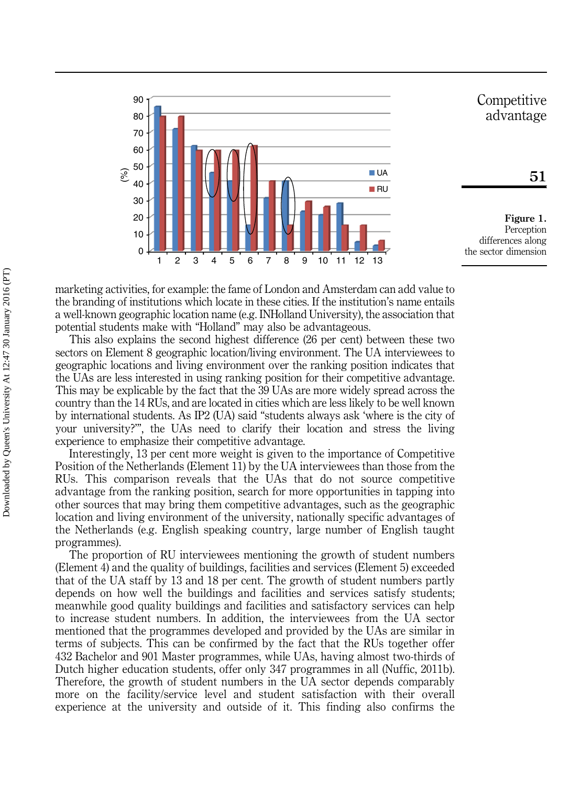

marketing activities, for example: the fame of London and Amsterdam can add value to the branding of institutions which locate in these cities. If the institution's name entails a well-known geographic location name (e.g. INHolland University), the association that potential students make with "Holland" may also be advantageous.

This also explains the second highest difference (26 per cent) between these two sectors on Element 8 geographic location/living environment. The UA interviewees to geographic locations and living environment over the ranking position indicates that the UAs are less interested in using ranking position for their competitive advantage. This may be explicable by the fact that the 39 UAs are more widely spread across the country than the 14 RUs, and are located in cities which are less likely to be well known by international students. As IP2 (UA) said "students always ask 'where is the city of your university?'", the UAs need to clarify their location and stress the living experience to emphasize their competitive advantage.

Interestingly, 13 per cent more weight is given to the importance of Competitive Position of the Netherlands (Element 11) by the UA interviewees than those from the RUs. This comparison reveals that the UAs that do not source competitive advantage from the ranking position, search for more opportunities in tapping into other sources that may bring them competitive advantages, such as the geographic location and living environment of the university, nationally specific advantages of the Netherlands (e.g. English speaking country, large number of English taught programmes).

The proportion of RU interviewees mentioning the growth of student numbers (Element 4) and the quality of buildings, facilities and services (Element 5) exceeded that of the UA staff by 13 and 18 per cent. The growth of student numbers partly depends on how well the buildings and facilities and services satisfy students; meanwhile good quality buildings and facilities and satisfactory services can help to increase student numbers. In addition, the interviewees from the UA sector mentioned that the programmes developed and provided by the UAs are similar in terms of subjects. This can be confirmed by the fact that the RUs together offer 432 Bachelor and 901 Master programmes, while UAs, having almost two-thirds of Dutch higher education students, offer only 347 programmes in all (Nuffic, 2011b). Therefore, the growth of student numbers in the UA sector depends comparably more on the facility/service level and student satisfaction with their overall experience at the university and outside of it. This finding also confirms the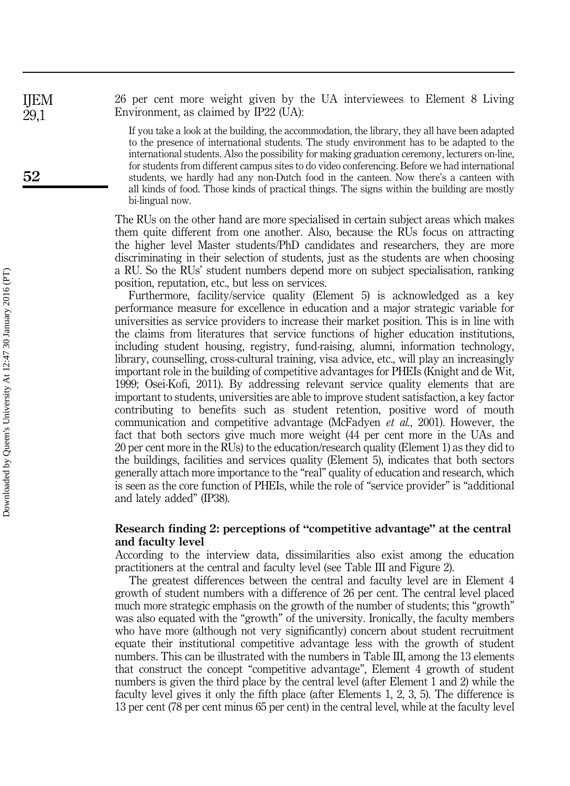26 per cent more weight given by the UA interviewees to Element 8 Living Environment, as claimed by IP22 (UA):

If you take a look at the building, the accommodation, the library, they all have been adapted to the presence of international students. The study environment has to be adapted to the international students. Also the possibility for making graduation ceremony, lecturers on-line, for students from different campus sites to do video conferencing. Before we had international students, we hardly had any non-Dutch food in the canteen. Now there's a canteen with all kinds of food. Those kinds of practical things. The signs within the building are mostly bi-lingual now.

The RUs on the other hand are more specialised in certain subject areas which makes them quite different from one another. Also, because the RUs focus on attracting the higher level Master students/PhD candidates and researchers, they are more discriminating in their selection of students, just as the students are when choosing a RU. So the RUs' student numbers depend more on subject specialisation, ranking position, reputation, etc., but less on services.

Furthermore, facility/service quality (Element 5) is acknowledged as a key performance measure for excellence in education and a major strategic variable for universities as service providers to increase their market position. This is in line with the claims from literatures that service functions of higher education institutions, including student housing, registry, fund-raising, alumni, information technology, library, counselling, cross-cultural training, visa advice, etc., will play an increasingly important role in the building of competitive advantages for PHEIs (Knight and de Wit, 1999; Osei-Kofi, 2011). By addressing relevant service quality elements that are important to students, universities are able to improve student satisfaction, a key factor contributing to benefits such as student retention, positive word of mouth communication and competitive advantage (McFadyen et al., 2001). However, the fact that both sectors give much more weight (44 per cent more in the UAs and 20 per cent more in the RUs) to the education/research quality (Element 1) as they did to the buildings, facilities and services quality (Element 5), indicates that both sectors generally attach more importance to the "real" quality of education and research, which is seen as the core function of PHEIs, while the role of "service provider" is "additional and lately added" (IP38).

#### Research finding 2: perceptions of "competitive advantage" at the central and faculty level

According to the interview data, dissimilarities also exist among the education practitioners at the central and faculty level (see Table III and Figure 2).

The greatest differences between the central and faculty level are in Element 4 growth of student numbers with a difference of 26 per cent. The central level placed much more strategic emphasis on the growth of the number of students; this "growth" was also equated with the "growth" of the university. Ironically, the faculty members who have more (although not very significantly) concern about student recruitment equate their institutional competitive advantage less with the growth of student numbers. This can be illustrated with the numbers in Table III, among the 13 elements that construct the concept "competitive advantage", Element 4 growth of student numbers is given the third place by the central level (after Element 1 and 2) while the faculty level gives it only the fifth place (after Elements 1, 2, 3, 5). The difference is 13 per cent (78 per cent minus 65 per cent) in the central level, while at the faculty level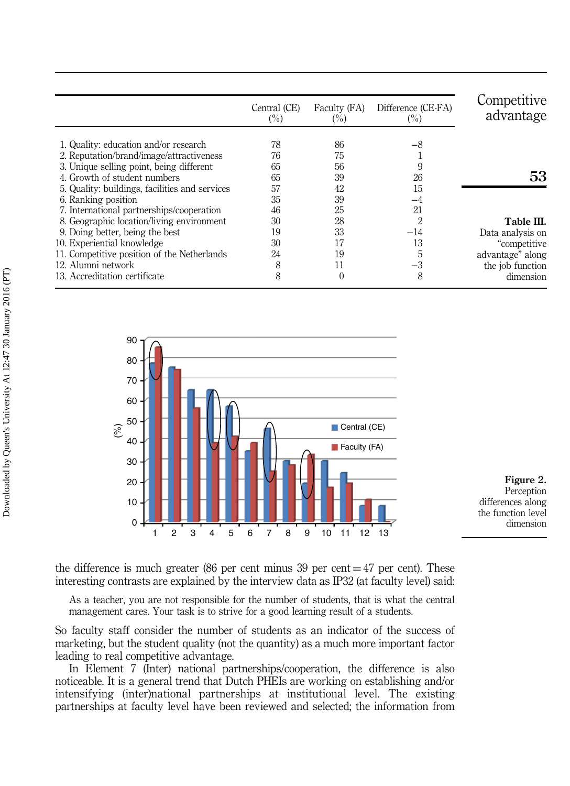|                                                | Central (CE)<br>$(\%)$ | Faculty (FA)<br>$\binom{0}{0}$ | Difference (CE-FA)<br>$(\%)$ | Competitive<br>advantage |
|------------------------------------------------|------------------------|--------------------------------|------------------------------|--------------------------|
| 1. Quality: education and/or research          | 78                     | 86                             | -8                           |                          |
| 2. Reputation/brand/image/attractiveness       | 76                     | 75                             |                              |                          |
| 3. Unique selling point, being different       | 65                     | 56                             | 9                            |                          |
| 4. Growth of student numbers                   | 65                     | 39                             | 26                           | 53                       |
| 5. Quality: buildings, facilities and services | 57                     | 42                             | 15                           |                          |
| 6. Ranking position                            | 35                     | 39                             | -4                           |                          |
| 7. International partnerships/cooperation      | 46                     | 25                             | 21                           |                          |
| 8. Geographic location/living environment      | 30                     | 28                             | 2                            | Table III.               |
| 9. Doing better, being the best                | 19                     | 33                             | $-14$                        | Data analysis on         |
| 10. Experiential knowledge                     | 30                     | 17                             | 13                           | "competitive             |
| 11. Competitive position of the Netherlands    | 24                     | 19                             | 5                            | advantage" along         |
| 12. Alumni network                             | 8                      | 11                             | -3                           | the job function         |
| 13. Accreditation certificate                  | 8                      | 0                              | 8                            | dimension                |





the difference is much greater (86 per cent minus 39 per cent  $=$  47 per cent). These interesting contrasts are explained by the interview data as IP32 (at faculty level) said:

As a teacher, you are not responsible for the number of students, that is what the central management cares. Your task is to strive for a good learning result of a students.

So faculty staff consider the number of students as an indicator of the success of marketing, but the student quality (not the quantity) as a much more important factor leading to real competitive advantage.

In Element 7 (Inter) national partnerships/cooperation, the difference is also noticeable. It is a general trend that Dutch PHEIs are working on establishing and/or intensifying (inter)national partnerships at institutional level. The existing partnerships at faculty level have been reviewed and selected; the information from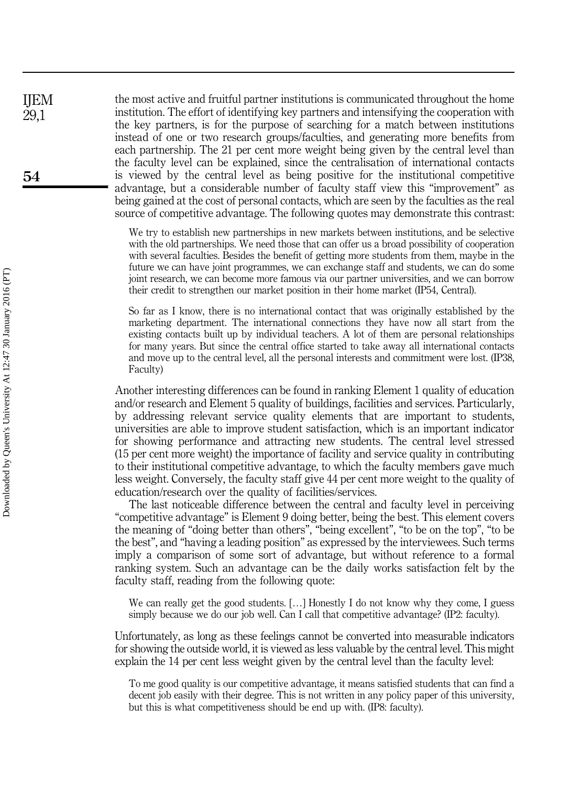the most active and fruitful partner institutions is communicated throughout the home institution. The effort of identifying key partners and intensifying the cooperation with the key partners, is for the purpose of searching for a match between institutions instead of one or two research groups/faculties, and generating more benefits from each partnership. The 21 per cent more weight being given by the central level than the faculty level can be explained, since the centralisation of international contacts is viewed by the central level as being positive for the institutional competitive advantage, but a considerable number of faculty staff view this "improvement" as being gained at the cost of personal contacts, which are seen by the faculties as the real source of competitive advantage. The following quotes may demonstrate this contrast:

We try to establish new partnerships in new markets between institutions, and be selective with the old partnerships. We need those that can offer us a broad possibility of cooperation with several faculties. Besides the benefit of getting more students from them, maybe in the future we can have joint programmes, we can exchange staff and students, we can do some joint research, we can become more famous via our partner universities, and we can borrow their credit to strengthen our market position in their home market (IP54, Central).

So far as I know, there is no international contact that was originally established by the marketing department. The international connections they have now all start from the existing contacts built up by individual teachers. A lot of them are personal relationships for many years. But since the central office started to take away all international contacts and move up to the central level, all the personal interests and commitment were lost. (IP38, Faculty)

Another interesting differences can be found in ranking Element 1 quality of education and/or research and Element 5 quality of buildings, facilities and services. Particularly, by addressing relevant service quality elements that are important to students, universities are able to improve student satisfaction, which is an important indicator for showing performance and attracting new students. The central level stressed (15 per cent more weight) the importance of facility and service quality in contributing to their institutional competitive advantage, to which the faculty members gave much less weight. Conversely, the faculty staff give 44 per cent more weight to the quality of education/research over the quality of facilities/services.

The last noticeable difference between the central and faculty level in perceiving "competitive advantage" is Element 9 doing better, being the best. This element covers the meaning of "doing better than others", "being excellent", "to be on the top", "to be the best", and "having a leading position" as expressed by the interviewees. Such terms imply a comparison of some sort of advantage, but without reference to a formal ranking system. Such an advantage can be the daily works satisfaction felt by the faculty staff, reading from the following quote:

We can really get the good students. [...] Honestly I do not know why they come, I guess simply because we do our job well. Can I call that competitive advantage? (IP2: faculty).

Unfortunately, as long as these feelings cannot be converted into measurable indicators for showing the outside world, it is viewed as less valuable by the central level. This might explain the 14 per cent less weight given by the central level than the faculty level:

To me good quality is our competitive advantage, it means satisfied students that can find a decent job easily with their degree. This is not written in any policy paper of this university, but this is what competitiveness should be end up with. (IP8: faculty).

54

IJEM 29,1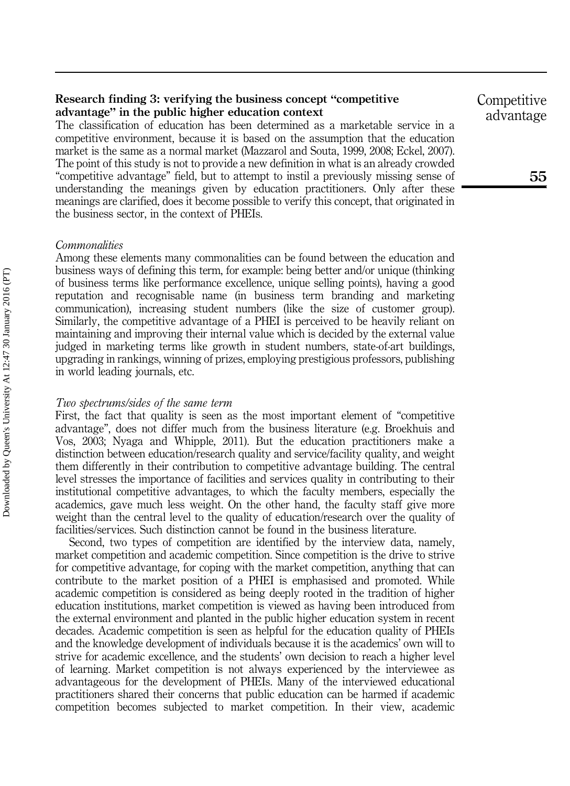#### Research finding 3: verifying the business concept "competitive advantage" in the public higher education context

The classification of education has been determined as a marketable service in a competitive environment, because it is based on the assumption that the education market is the same as a normal market (Mazzarol and Souta, 1999, 2008; Eckel, 2007). The point of this study is not to provide a new definition in what is an already crowded "competitive advantage" field, but to attempt to instil a previously missing sense of understanding the meanings given by education practitioners. Only after these meanings are clarified, does it become possible to verify this concept, that originated in the business sector, in the context of PHEIs.

#### Commonalities

Among these elements many commonalities can be found between the education and business ways of defining this term, for example: being better and/or unique (thinking of business terms like performance excellence, unique selling points), having a good reputation and recognisable name (in business term branding and marketing communication), increasing student numbers (like the size of customer group). Similarly, the competitive advantage of a PHEI is perceived to be heavily reliant on maintaining and improving their internal value which is decided by the external value judged in marketing terms like growth in student numbers, state-of-art buildings, upgrading in rankings, winning of prizes, employing prestigious professors, publishing in world leading journals, etc.

#### Two spectrums/sides of the same term

First, the fact that quality is seen as the most important element of "competitive advantage", does not differ much from the business literature (e.g. Broekhuis and Vos, 2003; Nyaga and Whipple, 2011). But the education practitioners make a distinction between education/research quality and service/facility quality, and weight them differently in their contribution to competitive advantage building. The central level stresses the importance of facilities and services quality in contributing to their institutional competitive advantages, to which the faculty members, especially the academics, gave much less weight. On the other hand, the faculty staff give more weight than the central level to the quality of education/research over the quality of facilities/services. Such distinction cannot be found in the business literature.

Second, two types of competition are identified by the interview data, namely, market competition and academic competition. Since competition is the drive to strive for competitive advantage, for coping with the market competition, anything that can contribute to the market position of a PHEI is emphasised and promoted. While academic competition is considered as being deeply rooted in the tradition of higher education institutions, market competition is viewed as having been introduced from the external environment and planted in the public higher education system in recent decades. Academic competition is seen as helpful for the education quality of PHEIs and the knowledge development of individuals because it is the academics' own will to strive for academic excellence, and the students' own decision to reach a higher level of learning. Market competition is not always experienced by the interviewee as advantageous for the development of PHEIs. Many of the interviewed educational practitioners shared their concerns that public education can be harmed if academic competition becomes subjected to market competition. In their view, academic **Competitive** advantage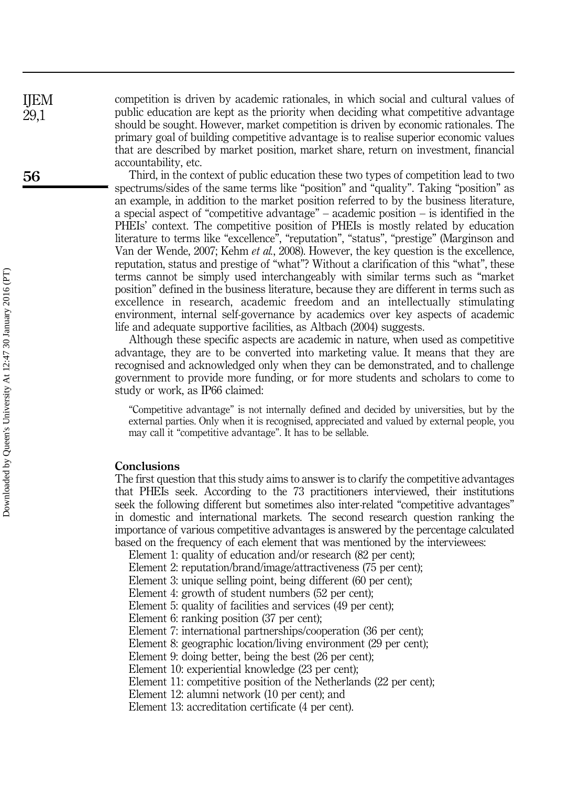competition is driven by academic rationales, in which social and cultural values of public education are kept as the priority when deciding what competitive advantage should be sought. However, market competition is driven by economic rationales. The primary goal of building competitive advantage is to realise superior economic values that are described by market position, market share, return on investment, financial accountability, etc.

Third, in the context of public education these two types of competition lead to two spectrums/sides of the same terms like "position" and "quality". Taking "position" as an example, in addition to the market position referred to by the business literature, a special aspect of "competitive advantage" – academic position – is identified in the PHEIs' context. The competitive position of PHEIs is mostly related by education literature to terms like "excellence", "reputation", "status", "prestige" (Marginson and Van der Wende, 2007; Kehm et al., 2008). However, the key question is the excellence, reputation, status and prestige of "what"? Without a clarification of this "what", these terms cannot be simply used interchangeably with similar terms such as "market position" defined in the business literature, because they are different in terms such as excellence in research, academic freedom and an intellectually stimulating environment, internal self-governance by academics over key aspects of academic life and adequate supportive facilities, as Altbach (2004) suggests.

Although these specific aspects are academic in nature, when used as competitive advantage, they are to be converted into marketing value. It means that they are recognised and acknowledged only when they can be demonstrated, and to challenge government to provide more funding, or for more students and scholars to come to study or work, as IP66 claimed:

"Competitive advantage" is not internally defined and decided by universities, but by the external parties. Only when it is recognised, appreciated and valued by external people, you may call it "competitive advantage". It has to be sellable.

#### Conclusions

The first question that this study aims to answer is to clarify the competitive advantages that PHEIs seek. According to the 73 practitioners interviewed, their institutions seek the following different but sometimes also inter-related "competitive advantages" in domestic and international markets. The second research question ranking the importance of various competitive advantages is answered by the percentage calculated based on the frequency of each element that was mentioned by the interviewees:

Element 1: quality of education and/or research (82 per cent);

Element 2: reputation/brand/image/attractiveness (75 per cent);

Element 3: unique selling point, being different (60 per cent);

Element 4: growth of student numbers (52 per cent);

Element 5: quality of facilities and services (49 per cent);

Element 6: ranking position (37 per cent);

Element 7: international partnerships/cooperation (36 per cent);

Element 8: geographic location/living environment (29 per cent);

Element 9: doing better, being the best (26 per cent);

Element 10: experiential knowledge (23 per cent);

Element 11: competitive position of the Netherlands (22 per cent);

Element 12: alumni network (10 per cent); and

Element 13: accreditation certificate (4 per cent).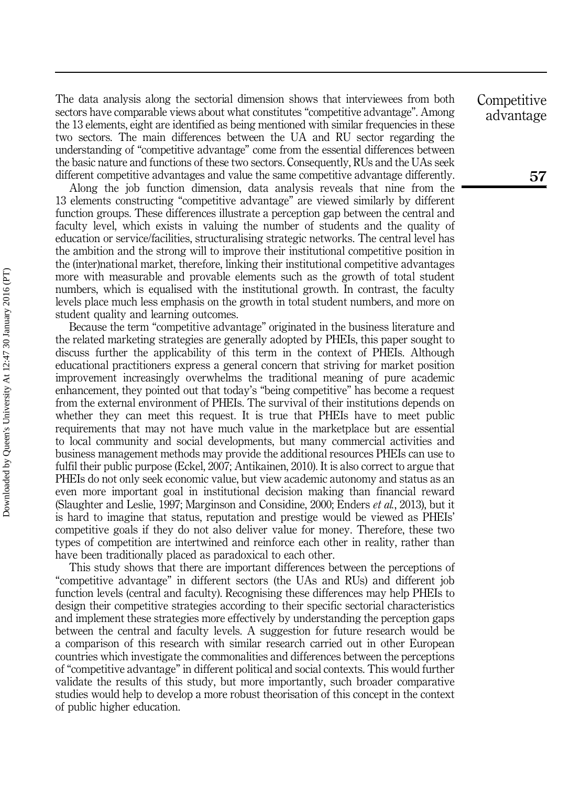The data analysis along the sectorial dimension shows that interviewees from both sectors have comparable views about what constitutes "competitive advantage". Among the 13 elements, eight are identified as being mentioned with similar frequencies in these two sectors. The main differences between the UA and RU sector regarding the understanding of "competitive advantage" come from the essential differences between the basic nature and functions of these two sectors. Consequently, RUs and the UAs seek different competitive advantages and value the same competitive advantage differently.

Along the job function dimension, data analysis reveals that nine from the 13 elements constructing "competitive advantage" are viewed similarly by different function groups. These differences illustrate a perception gap between the central and faculty level, which exists in valuing the number of students and the quality of education or service/facilities, structuralising strategic networks. The central level has the ambition and the strong will to improve their institutional competitive position in the (inter)national market, therefore, linking their institutional competitive advantages more with measurable and provable elements such as the growth of total student numbers, which is equalised with the institutional growth. In contrast, the faculty levels place much less emphasis on the growth in total student numbers, and more on student quality and learning outcomes.

Because the term "competitive advantage" originated in the business literature and the related marketing strategies are generally adopted by PHEIs, this paper sought to discuss further the applicability of this term in the context of PHEIs. Although educational practitioners express a general concern that striving for market position improvement increasingly overwhelms the traditional meaning of pure academic enhancement, they pointed out that today's "being competitive" has become a request from the external environment of PHEIs. The survival of their institutions depends on whether they can meet this request. It is true that PHEIs have to meet public requirements that may not have much value in the marketplace but are essential to local community and social developments, but many commercial activities and business management methods may provide the additional resources PHEIs can use to fulfil their public purpose (Eckel, 2007; Antikainen, 2010). It is also correct to argue that PHEIs do not only seek economic value, but view academic autonomy and status as an even more important goal in institutional decision making than financial reward (Slaughter and Leslie, 1997; Marginson and Considine, 2000; Enders et al., 2013), but it is hard to imagine that status, reputation and prestige would be viewed as PHEIs' competitive goals if they do not also deliver value for money. Therefore, these two types of competition are intertwined and reinforce each other in reality, rather than have been traditionally placed as paradoxical to each other.

This study shows that there are important differences between the perceptions of "competitive advantage" in different sectors (the UAs and RUs) and different job function levels (central and faculty). Recognising these differences may help PHEIs to design their competitive strategies according to their specific sectorial characteristics and implement these strategies more effectively by understanding the perception gaps between the central and faculty levels. A suggestion for future research would be a comparison of this research with similar research carried out in other European countries which investigate the commonalities and differences between the perceptions of "competitive advantage" in different political and social contexts. This would further validate the results of this study, but more importantly, such broader comparative studies would help to develop a more robust theorisation of this concept in the context of public higher education.

**Competitive** advantage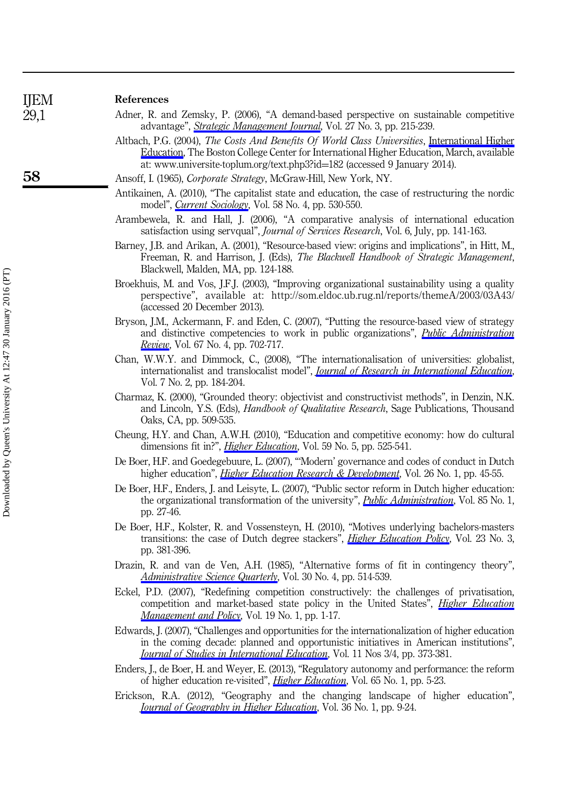| <b>IJEM</b> | References |
|-------------|------------|
|             |            |

29,1

58

- Adner, R. and Zemsky, P. (2006), "A demand-based perspective on sustainable competitive advantage", [Strategic Management Journal](http://www.emeraldinsight.com/action/showLinks?crossref=10.1002%2Fsmj.513&isi=000235508600002), Vol. 27 No. 3, pp. 215-239.
	- Altbach, P.G. (2004), The Costs And Benefits Of World Class Universities, [International Higher](http://www.emeraldinsight.com/action/showLinks?crossref=10.2307%2F40252583) [Education,](http://www.emeraldinsight.com/action/showLinks?crossref=10.2307%2F40252583) The Boston College Center for International Higher Education, March, available at: www.universite-toplum.org/text.php3?id=182 (accessed 9 January 2014).

Ansoff, I. (1965), Corporate Strategy, McGraw-Hill, New York, NY.

- Antikainen, A. (2010), "The capitalist state and education, the case of restructuring the nordic model", *[Current Sociology](http://www.emeraldinsight.com/action/showLinks?crossref=10.1177%2F0011392110367988&isi=000279408500002)*, Vol. 58 No. 4, pp. 530-550.
- Arambewela, R. and Hall, J. (2006), "A comparative analysis of international education satisfaction using servqual", Journal of Services Research, Vol. 6, July, pp. 141-163.
- Barney, J.B. and Arikan, A. (2001), "Resource-based view: origins and implications", in Hitt, M., Freeman, R. and Harrison, J. (Eds), The Blackwell Handbook of Strategic Management, Blackwell, Malden, MA, pp. 124-188.
- Broekhuis, M. and Vos, J.F.J. (2003), "Improving organizational sustainability using a quality perspective", available at: http://som.eldoc.ub.rug.nl/reports/themeA/2003/03A43/ (accessed 20 December 2013).
- Bryson, J.M., Ackermann, F. and Eden, C. (2007), "Putting the resource-based view of strategy and distinctive competencies to work in public organizations", *[Public Administration](http://www.emeraldinsight.com/action/showLinks?crossref=10.1111%2Fj.1540-6210.2007.00754.x&isi=000247173600010) [Review](http://www.emeraldinsight.com/action/showLinks?crossref=10.1111%2Fj.1540-6210.2007.00754.x&isi=000247173600010)*, Vol. 67 No. 4, pp. 702-717.
- Chan, W.W.Y. and Dimmock, C., (2008), "The internationalisation of universities: globalist, internationalist and translocalist model", *[Journal of Research in International Education](http://www.emeraldinsight.com/action/showLinks?crossref=10.1177%2F1475240908091304)*, Vol. 7 No. 2, pp. 184-204.
- Charmaz, K. (2000), "Grounded theory: objectivist and constructivist methods", in Denzin, N.K. and Lincoln, Y.S. (Eds), Handbook of Qualitative Research, Sage Publications, Thousand Oaks, CA, pp. 509-535.
- Cheung, H.Y. and Chan, A.W.H. (2010), "Education and competitive economy: how do cultural dimensions fit in?", *[Higher Education](http://www.emeraldinsight.com/action/showLinks?crossref=10.1007%2Fs10734-009-9263-4&isi=000275549100001)*, Vol. 59 No. 5, pp. 525-541.
- De Boer, H.F. and Goedegebuure, L. (2007), "'Modern' governance and codes of conduct in Dutch higher education", *[Higher Education Research & Development](http://www.emeraldinsight.com/action/showLinks?crossref=10.1080%2F07294360601166802)*, Vol. 26 No. 1, pp. 45-55.
- De Boer, H.F., Enders, J. and Leisyte, L. (2007), "Public sector reform in Dutch higher education: the organizational transformation of the university", *[Public Administration](http://www.emeraldinsight.com/action/showLinks?crossref=10.1111%2Fj.1467-9299.2007.00632.x&isi=000245628400003)*, Vol. 85 No. 1, pp. 27-46.
- De Boer, H.F., Kolster, R. and Vossensteyn, H. (2010), "Motives underlying bachelors-masters transitions: the case of Dutch degree stackers", *[Higher Education Policy](http://www.emeraldinsight.com/action/showLinks?crossref=10.1057%2Fhep.2010.14)*, Vol. 23 No. 3, pp. 381-396.
- Drazin, R. and van de Ven, A.H. (1985), "Alternative forms of fit in contingency theory", [Administrative Science Quarterly](http://www.emeraldinsight.com/action/showLinks?crossref=10.2307%2F2392695&isi=A1986A675600004), Vol. 30 No. 4, pp. 514-539.
- Eckel, P.D. (2007), "Redefining competition constructively: the challenges of privatisation, competition and market-based state policy in the United States", *[Higher Education](http://www.emeraldinsight.com/action/showLinks?crossref=10.1787%2Fhemp-v19-art5-en)* [Management and Policy](http://www.emeraldinsight.com/action/showLinks?crossref=10.1787%2Fhemp-v19-art5-en), Vol. 19 No. 1, pp. 1-17.
- Edwards, J. (2007), "Challenges and opportunities for the internationalization of higher education in the coming decade: planned and opportunistic initiatives in American institutions", **[Journal of Studies in International Education](http://www.emeraldinsight.com/action/showLinks?crossref=10.1177%2F1028315307303920), Vol. 11 Nos 3/4, pp. 373-381.**
- Enders, J., de Boer, H. and Weyer, E. (2013), "Regulatory autonomy and performance: the reform of higher education re-visited", [Higher Education](http://www.emeraldinsight.com/action/showLinks?crossref=10.1007%2Fs10734-012-9578-4&isi=000314505900002), Vol. 65 No. 1, pp. 5-23.
- Erickson, R.A. (2012), "Geography and the changing landscape of higher education", [Journal of Geography in Higher Education](http://www.emeraldinsight.com/action/showLinks?crossref=10.1080%2F03098265.2012.651350&isi=000302022300002), Vol. 36 No. 1, pp. 9-24.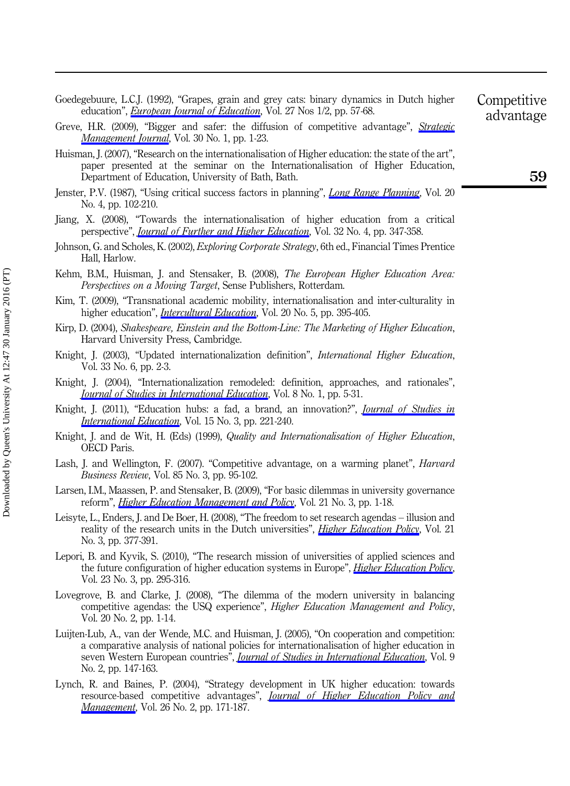- Goedegebuure, L.C.J. (1992), "Grapes, grain and grey cats: binary dynamics in Dutch higher education", *[European Journal of Education](http://www.emeraldinsight.com/action/showLinks?crossref=10.2307%2F1502663)*, Vol. 27 Nos 1/2, pp. 57-68.
- Greve, H.R. (2009), "Bigger and safer: the diffusion of competitive advantage", *[Strategic](http://www.emeraldinsight.com/action/showLinks?crossref=10.1002%2Fsmj.721&isi=000261646200001)* [Management Journal](http://www.emeraldinsight.com/action/showLinks?crossref=10.1002%2Fsmj.721&isi=000261646200001), Vol. 30 No. 1, pp. 1-23.
- Huisman, J. (2007), "Research on the internationalisation of Higher education: the state of the art", paper presented at the seminar on the Internationalisation of Higher Education, Department of Education, University of Bath, Bath.
- Jenster, P.V. (1987), "Using critical success factors in planning", [Long Range Planning](http://www.emeraldinsight.com/action/showLinks?crossref=10.1016%2F0024-6301%2887%2990160-9&isi=A1987J478800010), Vol. 20 No. 4, pp. 102-210.
- Jiang, X. (2008), "Towards the internationalisation of higher education from a critical perspective", *[Journal of Further and Higher Education](http://www.emeraldinsight.com/action/showLinks?crossref=10.1080%2F03098770802395561)*, Vol. 32 No. 4, pp. 347-358.
- Johnson, G. and Scholes, K. (2002), Exploring Corporate Strategy, 6th ed., Financial Times Prentice Hall, Harlow.
- Kehm, B.M., Huisman, J. and Stensaker, B. (2008), The European Higher Education Area: Perspectives on a Moving Target, Sense Publishers, Rotterdam.
- Kim, T. (2009), "Transnational academic mobility, internationalisation and inter-culturality in higher education", *[Intercultural Education](http://www.emeraldinsight.com/action/showLinks?crossref=10.1080%2F14675980903371241)*, Vol. 20 No. 5, pp. 395-405.
- Kirp, D. (2004), Shakespeare, Einstein and the Bottom-Line: The Marketing of Higher Education, Harvard University Press, Cambridge.
- Knight, J. (2003), "Updated internationalization definition", International Higher Education, Vol. 33 No. 6, pp. 2-3.
- Knight, J. (2004), "Internationalization remodeled: definition, approaches, and rationales", **[Journal of Studies in International Education](http://www.emeraldinsight.com/action/showLinks?crossref=10.1177%2F1028315303260832), Vol. 8 No. 1, pp. 5-31.**
- Knight, J. (2011), "Education hubs: a fad, a brand, an innovation?", *[Journal of Studies in](http://www.emeraldinsight.com/action/showLinks?crossref=10.1177%2F1028315311398046)* [International Education](http://www.emeraldinsight.com/action/showLinks?crossref=10.1177%2F1028315311398046), Vol. 15 No. 3, pp. 221-240.
- Knight, J. and de Wit, H. (Eds) (1999), *Quality and Internationalisation of Higher Education*, OECD Paris.
- Lash, J. and Wellington, F. (2007). "Competitive advantage, on a warming planet", *Harvard* Business Review, Vol. 85 No. 3, pp. 95-102.
- Larsen, I.M., Maassen, P. and Stensaker, B. (2009), "For basic dilemmas in university governance reform", *[Higher Education Management and Policy](http://www.emeraldinsight.com/action/showLinks?crossref=10.1787%2Fhemp-21-5ksdxgpdnds1)*, Vol. 21 No. 3, pp. 1-18.
- Leisyte, L., Enders, J. and De Boer, H. (2008), "The freedom to set research agendas illusion and reality of the research units in the Dutch universities", *[Higher Education Policy](http://www.emeraldinsight.com/action/showLinks?crossref=10.1057%2Fhep.2008.14)*, Vol. 21 No. 3, pp. 377-391.
- Lepori, B. and Kyvik, S. (2010), "The research mission of universities of applied sciences and the future configuration of higher education systems in Europe", *[Higher Education Policy](http://www.emeraldinsight.com/action/showLinks?crossref=10.1057%2Fhep.2010.11)*, Vol. 23 No. 3, pp. 295-316.
- Lovegrove, B. and Clarke, J. (2008), "The dilemma of the modern university in balancing competitive agendas: the USQ experience", *Higher Education Management and Policy*, Vol. 20 No. 2, pp. 1-14.
- Luijten-Lub, A., van der Wende, M.C. and Huisman, J. (2005), "On cooperation and competition: a comparative analysis of national policies for internationalisation of higher education in seven Western European countries", *[Journal of Studies in International Education](http://www.emeraldinsight.com/action/showLinks?crossref=10.1177%2F1028315305276092)*, Vol. 9 No. 2, pp. 147-163.
- Lynch, R. and Baines, P. (2004), "Strategy development in UK higher education: towards resource-based competitive advantages", *[Journal of Higher Education Policy and](http://www.emeraldinsight.com/action/showLinks?crossref=10.1080%2F1360080042000218249)* [Management](http://www.emeraldinsight.com/action/showLinks?crossref=10.1080%2F1360080042000218249), Vol. 26 No. 2, pp. 171-187.

**Competitive** advantage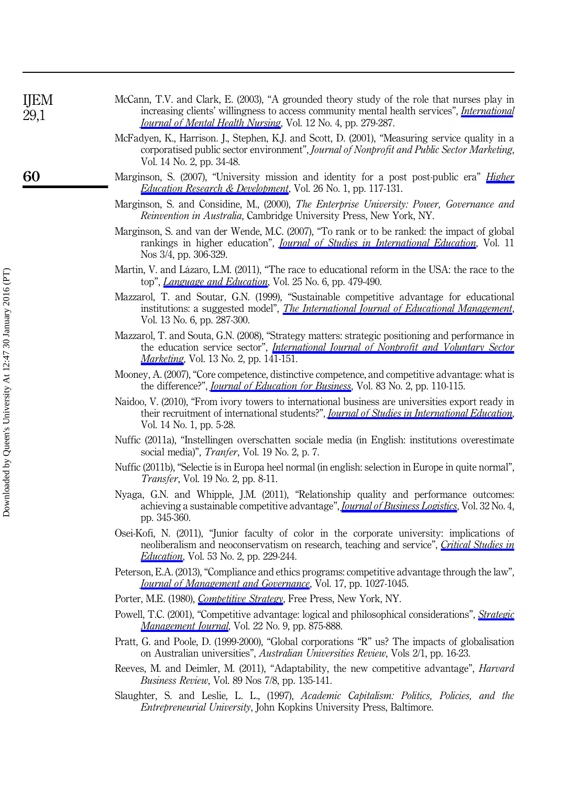| <b>IJEM</b><br>29,1 | McCann, T.V. and Clark, E. (2003), "A grounded theory study of the role that nurses play in<br>increasing clients' willingness to access community mental health services", <i>International</i><br><b>Journal of Mental Health Nursing, Vol. 12 No. 4, pp. 279-287.</b> |
|---------------------|--------------------------------------------------------------------------------------------------------------------------------------------------------------------------------------------------------------------------------------------------------------------------|
|                     | McFadyen, K., Harrison. J., Stephen, K.J. and Scott, D. (2001), "Measuring service quality in a<br>corporatised public sector environment", Journal of Nonprofit and Public Sector Marketing,<br>Vol. 14 No. 2, pp. 34-48.                                               |
| 60                  | Marginson, S. (2007), "University mission and identity for a post post-public era" <i>Higher</i><br><i>Education Research &amp; Development</i> , Vol. 26 No. 1, pp. 117-131.                                                                                            |
|                     | Marginson, S. and Considine, M., (2000), The Enterprise University: Power, Governance and<br>Reinvention in Australia, Cambridge University Press, New York, NY.                                                                                                         |
|                     | Marginson, S. and van der Wende, M.C. (2007), "To rank or to be ranked: the impact of global<br>rankings in higher education", <i>Journal of Studies in International Education</i> , Vol. 11<br>Nos 3/4, pp. 306-329.                                                   |
|                     | Martin, V. and Lázaro, L.M. (2011), "The race to educational reform in the USA: the race to the<br>top", <i>Language and Education</i> , Vol. 25 No. 6, pp. 479-490.                                                                                                     |
|                     | Mazzarol, T. and Soutar, G.N. (1999), "Sustainable competitive advantage for educational<br>institutions: a suggested model", <i>The International Journal of Educational Management</i> ,<br>Vol. 13 No. 6, pp. 287-300.                                                |
|                     | Mazzarol, T. and Souta, G.N. (2008), "Strategy matters: strategic positioning and performance in<br>the education service sector", <i>International Journal of Nonbrofit and Voluntary Sector</i><br><i>Marketing</i> , Vol. 13 No. 2, pp. 141-151.                      |
|                     | Mooney, A. (2007), "Core competence, distinctive competence, and competitive advantage: what is<br>the difference?", <i>Journal of Education for Business</i> , Vol. 83 No. 2, pp. 110-115.                                                                              |
|                     | Naidoo, V. (2010), "From ivory towers to international business are universities export ready in<br>their recruitment of international students?", <i>Journal of Studies in International Education</i> ,<br>Vol. 14 No. 1, pp. 5-28.                                    |
|                     | Nuffic (2011a), "Instellingen overschatten sociale media (in English: institutions overestimate<br>social media)", Tranfer, Vol. 19 No. 2, p. 7.                                                                                                                         |
|                     | Nuffic (2011b), "Selectie is in Europa heel normal (in english: selection in Europe in quite normal",<br><i>Transfer</i> , Vol. 19 No. 2, pp. 8-11.                                                                                                                      |
|                     | Nyaga, G.N. and Whipple, J.M. (2011), "Relationship quality and performance outcomes:<br>achieving a sustainable competitive advantage", <i>Journal of Business Logistics</i> , Vol. 32 No. 4,<br>pp. 345-360.                                                           |
|                     | Osei-Kofi, N. (2011), "Junior faculty of color in the corporate university: implications of<br>neoliberalism and neoconservatism on research, teaching and service", Critical Studies in<br><i>Education</i> , Vol. 53 No. 2, pp. 229-244.                               |
|                     | Peterson, E.A. (2013), "Compliance and ethics programs: competitive advantage through the law",<br>Journal of Management and Governance, Vol. 17, pp. 1027-1045.                                                                                                         |

Downloaded by Queen's University At 12:47 30 January 2016 (PT) Downloaded by Queen's University At 12:47 30 January 2016 (PT)

- Porter, M.E. (1980), [Competitive Strategy](http://www.emeraldinsight.com/action/showLinks?system=10.1108%2Feb025476), Free Press, New York, NY.
- Powell, T.C. (2001), "Competitive advantage: logical and philosophical considerations", [Strategic](http://www.emeraldinsight.com/action/showLinks?crossref=10.1002%2Fsmj.173&isi=000170638700004) [Management Journal](http://www.emeraldinsight.com/action/showLinks?crossref=10.1002%2Fsmj.173&isi=000170638700004), Vol. 22 No. 9, pp. 875-888.
- Pratt, G. and Poole, D. (1999-2000), "Global corporations "R" us? The impacts of globalisation on Australian universities", Australian Universities Review, Vols 2/1, pp. 16-23.
- Reeves, M. and Deimler, M. (2011), "Adaptability, the new competitive advantage", Harvard Business Review, Vol. 89 Nos 7/8, pp. 135-141.
- Slaughter, S. and Leslie, L. L., (1997), Academic Capitalism: Politics, Policies, and the Entrepreneurial University, John Kopkins University Press, Baltimore.